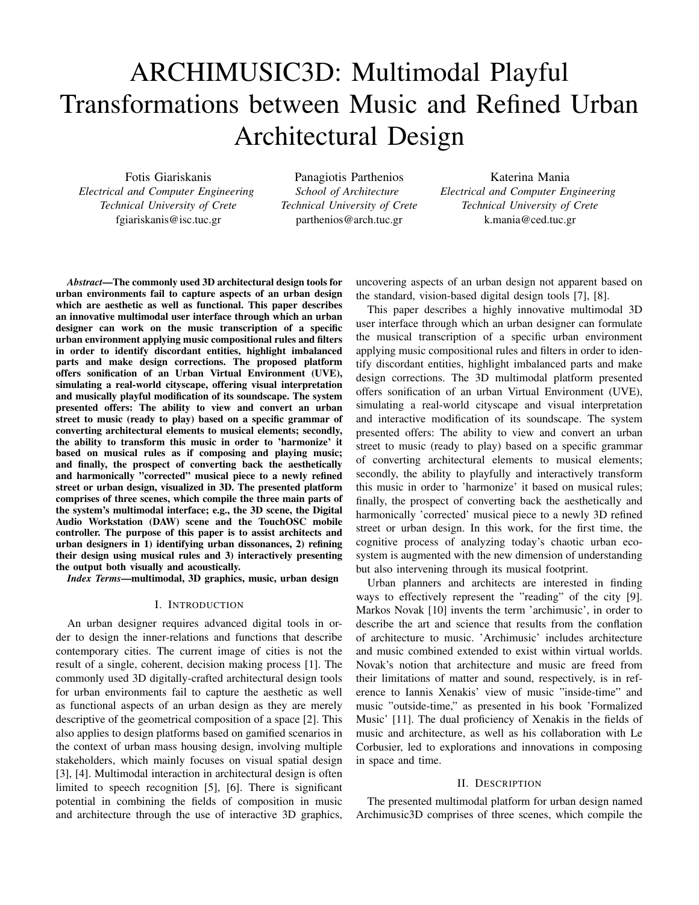# ARCHIMUSIC3D: Multimodal Playful Transformations between Music and Refined Urban Architectural Design

Fotis Giariskanis *Electrical and Computer Engineering Technical University of Crete* fgiariskanis@isc.tuc.gr

Panagiotis Parthenios *School of Architecture Technical University of Crete* parthenios@arch.tuc.gr

Katerina Mania *Electrical and Computer Engineering Technical University of Crete* k.mania@ced.tuc.gr

*Abstract*—The commonly used 3D architectural design tools for urban environments fail to capture aspects of an urban design which are aesthetic as well as functional. This paper describes an innovative multimodal user interface through which an urban designer can work on the music transcription of a specific urban environment applying music compositional rules and filters in order to identify discordant entities, highlight imbalanced parts and make design corrections. The proposed platform offers sonification of an Urban Virtual Environment (UVE), simulating a real-world cityscape, offering visual interpretation and musically playful modification of its soundscape. The system presented offers: The ability to view and convert an urban street to music (ready to play) based on a specific grammar of converting architectural elements to musical elements; secondly, the ability to transform this music in order to 'harmonize' it based on musical rules as if composing and playing music; and finally, the prospect of converting back the aesthetically and harmonically "corrected" musical piece to a newly refined street or urban design, visualized in 3D. The presented platform comprises of three scenes, which compile the three main parts of the system's multimodal interface; e.g., the 3D scene, the Digital Audio Workstation (DAW) scene and the TouchOSC mobile controller. The purpose of this paper is to assist architects and urban designers in 1) identifying urban dissonances, 2) refining their design using musical rules and 3) interactively presenting the output both visually and acoustically.

*Index Terms*—multimodal, 3D graphics, music, urban design

# I. INTRODUCTION

An urban designer requires advanced digital tools in order to design the inner-relations and functions that describe contemporary cities. The current image of cities is not the result of a single, coherent, decision making process [1]. The commonly used 3D digitally-crafted architectural design tools for urban environments fail to capture the aesthetic as well as functional aspects of an urban design as they are merely descriptive of the geometrical composition of a space [2]. This also applies to design platforms based on gamified scenarios in the context of urban mass housing design, involving multiple stakeholders, which mainly focuses on visual spatial design [3], [4]. Multimodal interaction in architectural design is often limited to speech recognition [5], [6]. There is significant potential in combining the fields of composition in music and architecture through the use of interactive 3D graphics, uncovering aspects of an urban design not apparent based on the standard, vision-based digital design tools [7], [8].

This paper describes a highly innovative multimodal 3D user interface through which an urban designer can formulate the musical transcription of a specific urban environment applying music compositional rules and filters in order to identify discordant entities, highlight imbalanced parts and make design corrections. The 3D multimodal platform presented offers sonification of an urban Virtual Environment (UVE), simulating a real-world cityscape and visual interpretation and interactive modification of its soundscape. The system presented offers: The ability to view and convert an urban street to music (ready to play) based on a specific grammar of converting architectural elements to musical elements; secondly, the ability to playfully and interactively transform this music in order to 'harmonize' it based on musical rules; finally, the prospect of converting back the aesthetically and harmonically 'corrected' musical piece to a newly 3D refined street or urban design. In this work, for the first time, the cognitive process of analyzing today's chaotic urban ecosystem is augmented with the new dimension of understanding but also intervening through its musical footprint.

Urban planners and architects are interested in finding ways to effectively represent the "reading" of the city [9]. Markos Novak [10] invents the term 'archimusic', in order to describe the art and science that results from the conflation of architecture to music. 'Archimusic' includes architecture and music combined extended to exist within virtual worlds. Novak's notion that architecture and music are freed from their limitations of matter and sound, respectively, is in reference to Iannis Xenakis' view of music "inside-time" and music "outside-time," as presented in his book 'Formalized Music' [11]. The dual proficiency of Xenakis in the fields of music and architecture, as well as his collaboration with Le Corbusier, led to explorations and innovations in composing in space and time.

#### II. DESCRIPTION

The presented multimodal platform for urban design named Archimusic3D comprises of three scenes, which compile the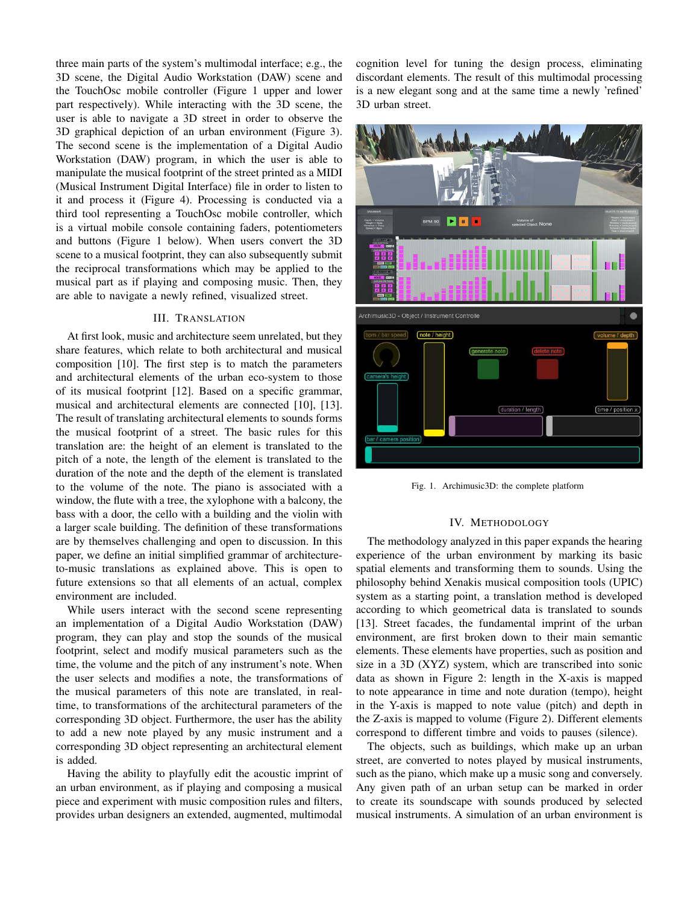three main parts of the system's multimodal interface; e.g., the 3D scene, the Digital Audio Workstation (DAW) scene and the TouchOsc mobile controller (Figure 1 upper and lower part respectively). While interacting with the 3D scene, the user is able to navigate a 3D street in order to observe the 3D graphical depiction of an urban environment (Figure 3). The second scene is the implementation of a Digital Audio Workstation (DAW) program, in which the user is able to manipulate the musical footprint of the street printed as a MIDI (Musical Instrument Digital Interface) file in order to listen to it and process it (Figure 4). Processing is conducted via a third tool representing a TouchOsc mobile controller, which is a virtual mobile console containing faders, potentiometers and buttons (Figure 1 below). When users convert the 3D scene to a musical footprint, they can also subsequently submit the reciprocal transformations which may be applied to the musical part as if playing and composing music. Then, they are able to navigate a newly refined, visualized street.

# III. TRANSLATION

At first look, music and architecture seem unrelated, but they share features, which relate to both architectural and musical composition [10]. The first step is to match the parameters and architectural elements of the urban eco-system to those of its musical footprint [12]. Based on a specific grammar, musical and architectural elements are connected [10], [13]. The result of translating architectural elements to sounds forms the musical footprint of a street. The basic rules for this translation are: the height of an element is translated to the pitch of a note, the length of the element is translated to the duration of the note and the depth of the element is translated to the volume of the note. The piano is associated with a window, the flute with a tree, the xylophone with a balcony, the bass with a door, the cello with a building and the violin with a larger scale building. The definition of these transformations are by themselves challenging and open to discussion. In this paper, we define an initial simplified grammar of architectureto-music translations as explained above. This is open to future extensions so that all elements of an actual, complex environment are included.

While users interact with the second scene representing an implementation of a Digital Audio Workstation (DAW) program, they can play and stop the sounds of the musical footprint, select and modify musical parameters such as the time, the volume and the pitch of any instrument's note. When the user selects and modifies a note, the transformations of the musical parameters of this note are translated, in realtime, to transformations of the architectural parameters of the corresponding 3D object. Furthermore, the user has the ability to add a new note played by any music instrument and a corresponding 3D object representing an architectural element is added.

Having the ability to playfully edit the acoustic imprint of an urban environment, as if playing and composing a musical piece and experiment with music composition rules and filters, provides urban designers an extended, augmented, multimodal

cognition level for tuning the design process, eliminating discordant elements. The result of this multimodal processing is a new elegant song and at the same time a newly 'refined' 3D urban street.



Fig. 1. Archimusic3D: the complete platform

# IV. METHODOLOGY

The methodology analyzed in this paper expands the hearing experience of the urban environment by marking its basic spatial elements and transforming them to sounds. Using the philosophy behind Xenakis musical composition tools (UPIC) system as a starting point, a translation method is developed according to which geometrical data is translated to sounds [13]. Street facades, the fundamental imprint of the urban environment, are first broken down to their main semantic elements. These elements have properties, such as position and size in a 3D (XYZ) system, which are transcribed into sonic data as shown in Figure 2: length in the X-axis is mapped to note appearance in time and note duration (tempo), height in the Y-axis is mapped to note value (pitch) and depth in the Z-axis is mapped to volume (Figure 2). Different elements correspond to different timbre and voids to pauses (silence).

The objects, such as buildings, which make up an urban street, are converted to notes played by musical instruments, such as the piano, which make up a music song and conversely. Any given path of an urban setup can be marked in order to create its soundscape with sounds produced by selected musical instruments. A simulation of an urban environment is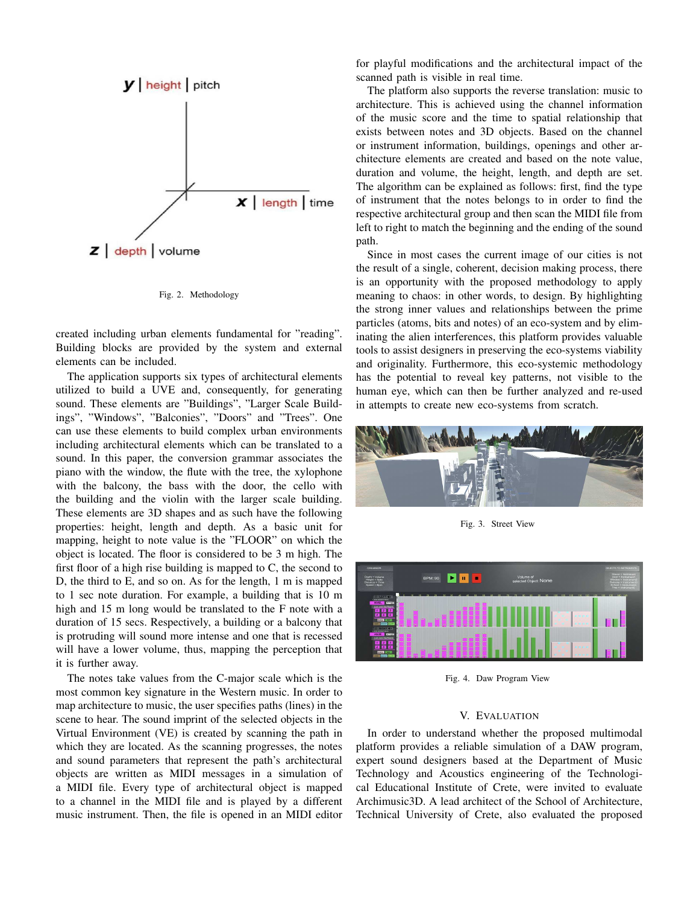

Fig. 2. Methodology

created including urban elements fundamental for "reading". Building blocks are provided by the system and external elements can be included.

The application supports six types of architectural elements utilized to build a UVE and, consequently, for generating sound. These elements are "Buildings", "Larger Scale Buildings", "Windows", "Balconies", "Doors" and "Trees". One can use these elements to build complex urban environments including architectural elements which can be translated to a sound. In this paper, the conversion grammar associates the piano with the window, the flute with the tree, the xylophone with the balcony, the bass with the door, the cello with the building and the violin with the larger scale building. These elements are 3D shapes and as such have the following properties: height, length and depth. As a basic unit for mapping, height to note value is the "FLOOR" on which the object is located. The floor is considered to be 3 m high. The first floor of a high rise building is mapped to C, the second to D, the third to E, and so on. As for the length, 1 m is mapped to 1 sec note duration. For example, a building that is 10 m high and 15 m long would be translated to the F note with a duration of 15 secs. Respectively, a building or a balcony that is protruding will sound more intense and one that is recessed will have a lower volume, thus, mapping the perception that it is further away.

The notes take values from the C-major scale which is the most common key signature in the Western music. In order to map architecture to music, the user specifies paths (lines) in the scene to hear. The sound imprint of the selected objects in the Virtual Environment (VE) is created by scanning the path in which they are located. As the scanning progresses, the notes and sound parameters that represent the path's architectural objects are written as MIDI messages in a simulation of a MIDI file. Every type of architectural object is mapped to a channel in the MIDI file and is played by a different music instrument. Then, the file is opened in an MIDI editor

for playful modifications and the architectural impact of the scanned path is visible in real time.

The platform also supports the reverse translation: music to architecture. This is achieved using the channel information of the music score and the time to spatial relationship that exists between notes and 3D objects. Based on the channel or instrument information, buildings, openings and other architecture elements are created and based on the note value, duration and volume, the height, length, and depth are set. The algorithm can be explained as follows: first, find the type of instrument that the notes belongs to in order to find the respective architectural group and then scan the MIDI file from left to right to match the beginning and the ending of the sound path.

Since in most cases the current image of our cities is not the result of a single, coherent, decision making process, there is an opportunity with the proposed methodology to apply meaning to chaos: in other words, to design. By highlighting the strong inner values and relationships between the prime particles (atoms, bits and notes) of an eco-system and by eliminating the alien interferences, this platform provides valuable tools to assist designers in preserving the eco-systems viability and originality. Furthermore, this eco-systemic methodology has the potential to reveal key patterns, not visible to the human eye, which can then be further analyzed and re-used in attempts to create new eco-systems from scratch.



Fig. 3. Street View



Fig. 4. Daw Program View

### V. EVALUATION

In order to understand whether the proposed multimodal platform provides a reliable simulation of a DAW program, expert sound designers based at the Department of Music Technology and Acoustics engineering of the Technological Educational Institute of Crete, were invited to evaluate Archimusic3D. A lead architect of the School of Architecture, Technical University of Crete, also evaluated the proposed